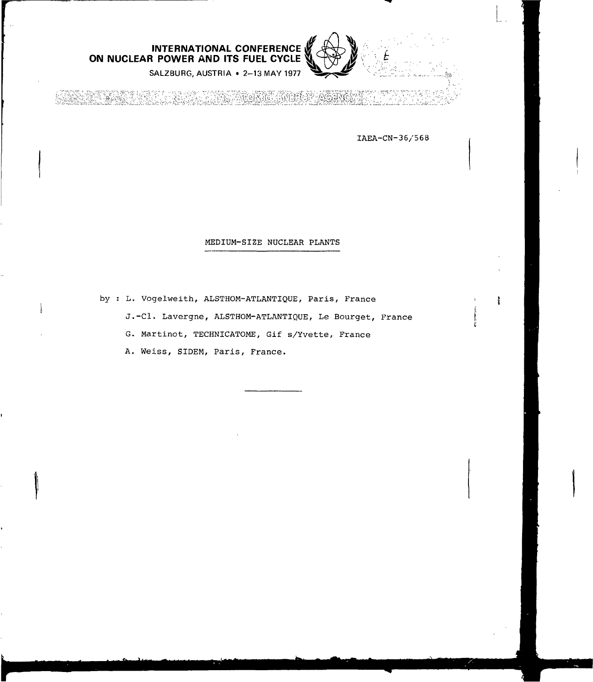

SALZBURG, AUSTRIA • 2-13 MAY 1977

nero Agenci

IAEA-CN-36/568

## MEDIUM-SIZE NUCLEAR PLANTS

by : L. Vogelweith, ALSTHOM-ATLANTIQUE, Paris, France

J.-Cl. Lavergne, ALSTHOM-ATLANTIQUE, Le Bourget, France

G. Martinot, TECHNICATOME, Gif s/Yvette, France

A. Weiss, SIDEM, Paris, France.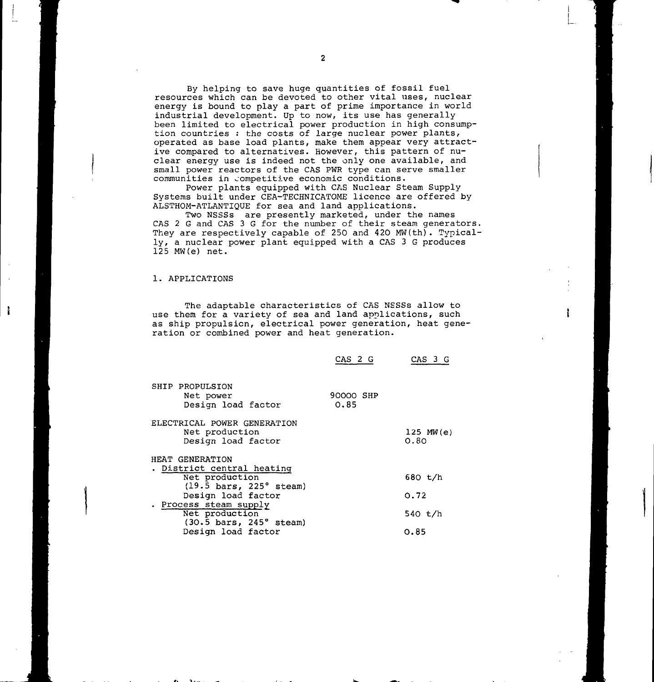By helping to save huge quantities of fossil fuel resources which can be devoted to other vital uses, nuclear energy is bound to play a part of prime importance in world industrial development. Up to now, its use has generally been limited to electrical power production in high consumption countries : the costs of large nuclear power plants, operated as base load plants, make them appear very attractive compared to alternatives. However, this pattern of nuclear energy use is indeed not the only one available, and small power reactors of the CAS PWR type can serve smaller communities in competitive economic conditions.

Power plants equipped with CAS Nuclear Steam Supply Systems built under CEA-TECHNICATOME licence are offered by ALSTHOM-ATLANTIQUE for sea and land applications.

Two NSSSs are presently marketed, under the names CAS 2 G and CAS 3 G for the number of their steam generators. They are respectively capable of 250 and 420 MW(th). Typically, a nuclear power plant equipped with a CAS 3 G produces 125 MW(e) net.

## 1. APPLICATIONS

ł

The adaptable characteristics of CAS NSSSs allow to use them for a variety of sea and land applications, such as ship propulsion, electrical power generation, heat generation or combined power and heat generation.

|                                                                                                  | CAS 2 G           | CAS 3 G                |
|--------------------------------------------------------------------------------------------------|-------------------|------------------------|
| SHIP PROPULSION<br>Net power<br>Design load factor                                               | 90000 SHP<br>0.85 |                        |
| ELECTRICAL POWER GENERATION<br>Net production<br>Design load factor                              |                   | $125$ MW $(e)$<br>0.80 |
| HEAT GENERATION                                                                                  |                   |                        |
| . District central heating<br>Net production<br>$(19.5 \text{ bars}, 225^{\circ} \text{ steam})$ |                   | 680 t/h                |
| Design load factor                                                                               |                   | 0.72                   |
| . Process steam supply<br>Net production<br>(30.5 bars, 245° steam)                              |                   | 540 t/h                |
| Design load factor                                                                               |                   | 0.85                   |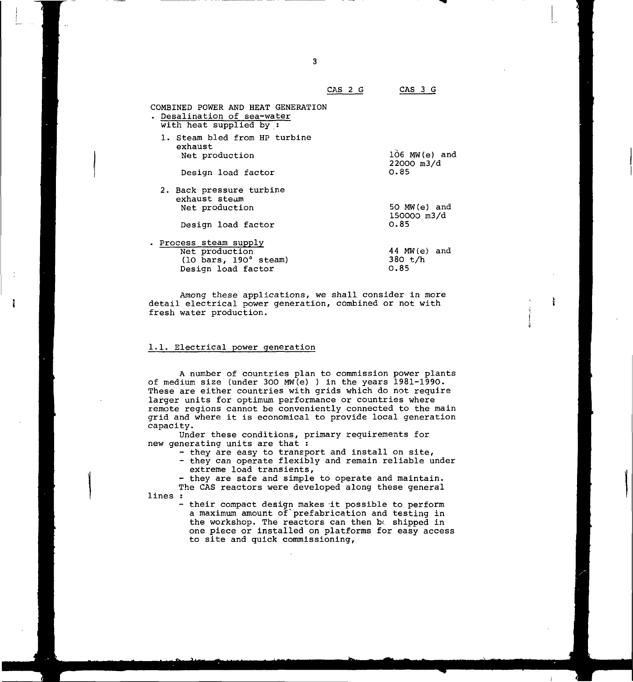| COMBINED POWER AND HEAT GENERATION<br>. Desalination of sea-water<br>with heat supplied by : |                                          |
|----------------------------------------------------------------------------------------------|------------------------------------------|
| 1. Steam bled from HP turbine<br>exhaust<br>Net production<br>Design load factor             | $106$ MW $(e)$ and<br>22000 m3/d<br>0.85 |
| 2. Back pressure turbine<br>exhaust steam<br>Net production<br>Design load factor            | 50 MW (e) and<br>150000 m3/d<br>0.85     |
| . Process steam supply<br>Net production<br>(10 bars, 190° steam)<br>Design load factor      | 44 MW(e) and<br>380 t/h<br>0.85          |

Among these applications, we shall consider in more detail electrical power generation, combined or not with fresh water production.

## 1.1. Electrical power generation

ì

A number of countries plan to commission power plants of medium size (under 300 MW(e) ) in the years 1981-1990. These are either countries with grids which do not require larger units for optimum performance or countries where remote regions cannot be conveniently connected to the main grid and where it is economical to provide local generation capacity.

Under these conditions, primary requirements for new generating units are that :

- they are easy to transport and install on site,
- they can operate flexibly and remain reliable under extreme load transients,
- they are safe and simple to operate and maintain.

The CAS reactors were developed along these general lines :

> their compact design makes it possible to perform a maximum amount of'préfabrication and testing in the workshop. The reactors can then bo shipped in one piece or installed on platforms for easy access to site and quick commissioning,

 $\mathbf{3}$ 

CAS 2 G CAS 3 G

ł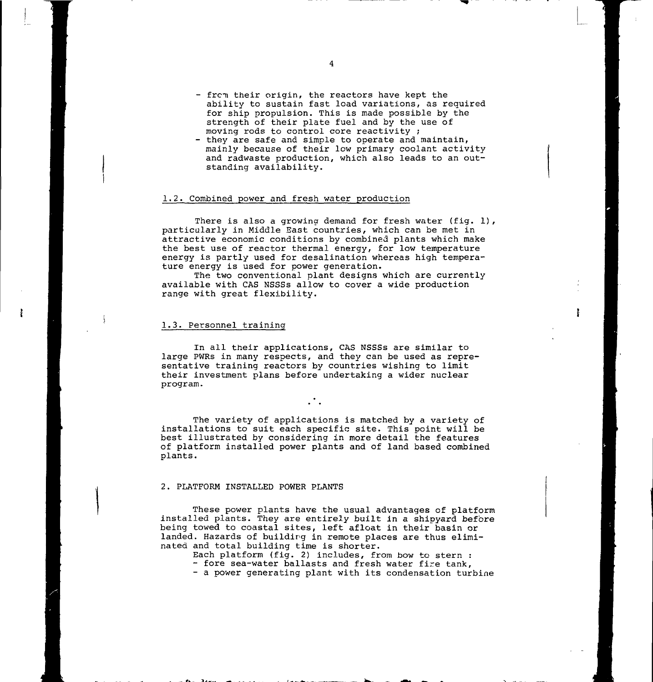- from their origin, the reactors have kept the ability to sustain fast load variations, as required for ship propulsion. This is made possible by the strength of their plate fuel and by the use of moving rods to control core reactivity ;
- they are safe and simple to operate and maintain, mainly because of their low primary coolant activity and radwaste production, which also leads to an outstanding availability.

## 1.2. Combined power and fresh water production

There is also a growing demand for fresh water (fig. 1), particularly in Middle East countries, which can be met in attractive economic conditions by combined plants which make the best use of reactor thermal energy, for low temperature energy is partly used for desalination whereas high temperature energy is used for power generation.

The two conventional plant designs which are currently available with CAS NSSSs allow to cover a wide production range with great flexibility.

## 1.3. Personnel training

In all their applications, CAS NSSSs are similar to large PWRs in many respects, and they can be used as representative training reactors by countries wishing to limit their investment plans before undertaking a wider nuclear program.

The variety of applications is matched by a variety of installations to suit each specific site. This point will be best illustrated by considering in more detail the features of platform installed power plants and of land based combined plants.

#### 2. PLATFORM INSTALLED POWER PLANTS

These power plants have the usual advantages of platform installed plants. They are entirely built in a shipyard before being towed to coastal sites, left afloat in their basin or landed. Hazards of building in remote places are thus eliminated and total building time is shorter.

Each platform (fig. 2) includes, from bow to stern :

- fore sea-water ballasts and fresh water fire tank, - a power generating plant with its condensation turbine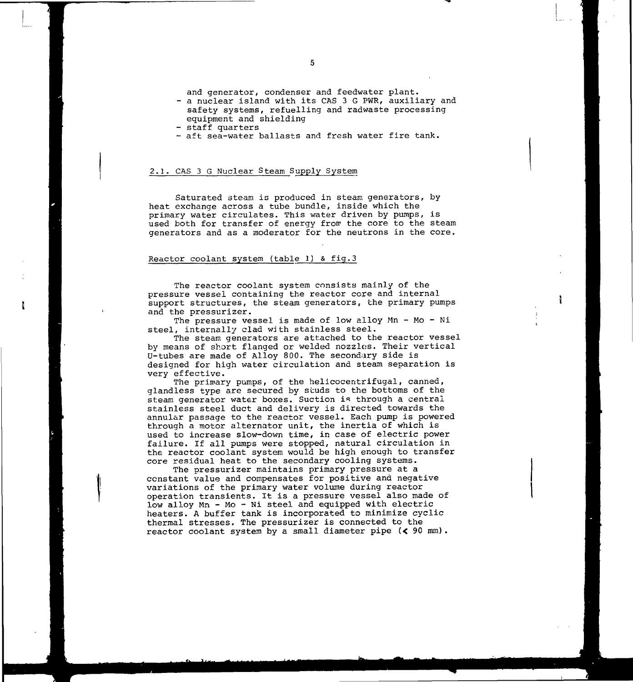and generator, condenser and feedwater plant.

- a nuclear island with its CAS 3 G PWR, auxiliary and safety systems, refuelling and radwaste processing equipment and shielding
- staff quarters
- aft sea-water ballasts and fresh water fire tank.

## 2.1. CAS 3 G Nuclear Steam Supply System

Saturated steam is produced in steam generators, by heat exchange across a tube bundle, inside which the primary water circulates. This water driven by pumps, is used both for transfer of energy from the core to the steam generators and as a moderator for the neutrons in the core.

### Reactor coolant system (table 1) & fig.3

The reactor coolant system consists mainly of the pressure vessel containing the reactor core and internal support structures, the steam generators, the primary pumps and the pressurizer.

The pressure vessel is made of low alloy  $Mn - Mo - Ni$ steel, internally clad with stainless steel.

The steam generators are attached to the reactor vessel by means of short flanged or welded nozzles. Their vertical U-tubes are made of Alloy 800. The secondary side is designed for high water circulation and steam separation is very effective.

The primary pumps, of the helicocentrifugal, canned, glandless type are secured by studs to the bottoms of the steam generator water boxes. Suction is through a central stainless steel duct and delivery is directed towards the annular passage to the reactor vessel. Each pump is powered through a motor alternator unit, the inertia of which is used to increase slow-down time, in case of electric power failure. If ail pumps were stopped, natural circulation in the reactor coolant system would be high enough to transfer core residual heat to the secondary cooling systems.

The pressurizer maintains primary pressure at a constant value and compensates for positive and negative variations of the primary water volume during reactor operation transients. It is a pressure vessel also made of low alloy Mn - Mo - Ni steel and equipped with electric heaters. A buffer tank is incorporated to minimize cyclic thermal stresses. The pressurizer is connected to the reactor coolant system by a small diameter pipe (< 90 mm).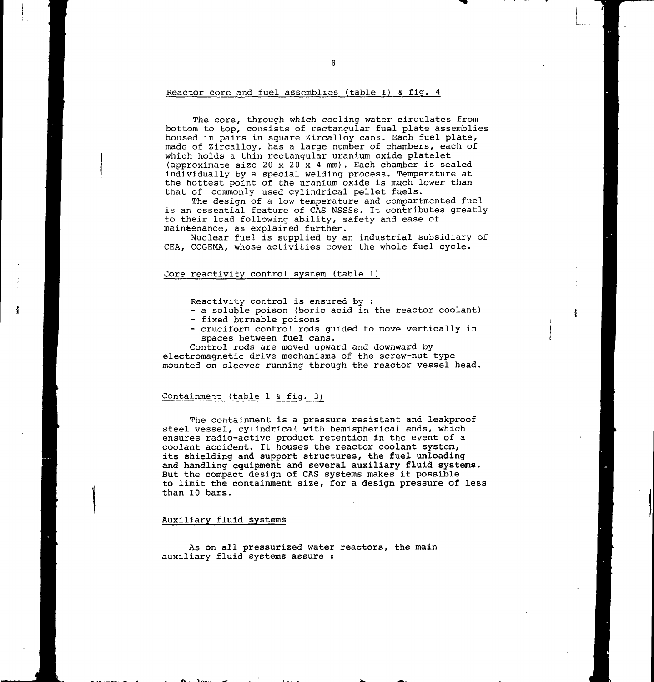### Reactor core and fuel assemblies (table 1) & fig. 4

The core, through which cooling water circulates from bottom to top, consists of rectangular fuel plate assemblies housed in pairs in square Zircalloy cans. Each fuel plate, made of Zircalloy, has a large number of chambers, each of which holds a thin rectangular uranium oxide platelet (approximate size 20 x 20 x 4 mm). Each chamber is sealed individually by a special welding process. Temperature at the hottest point of the uranium oxide is much lower than that of commonly used cylindrical pellet fuels.

The design of a low temperature and compartmented fuel is an essential feature of CAS NSSSs. It contributes greatly to their load following ability, safety and ease of maintenance, as explained further.

Nuclear fuel is supplied by an industrial subsidiary of CEA, COGEMA, whose activities cover the whole fuel cycle.

## Core reactivity control sysrem (table 1)

Reactivity control is ensured by :

- a soluble poison (boric acid in the reactor coolant)
- fixed burnable poisons
- cruciform control rods guided to move vertically in spaces between fuel cans.

Control rods are moved upward and downward by electromagnetic drive mechanisms of the screw-nut type mounted on sleeves running through the reactor vessel head.

## Containment (table 1 & fig. 3)

The containment is a pressure resistant and leakproof steel vessel, cylindrical with hemispherical ends, which ensures radio-active product retention in the event of a coolant accident. It houses the reactor **coolant system, its shielding and support structures, the fuel unloading and handling equipment and several auxiliary fluid systems. But** the **compact design of CAS systems makes it possible to limit the containment size, for a design pressure of less than 10 bars.**

## Auxiliary fluid systems

As on all pressurized water reactors, the main auxiliary fluid systems assure :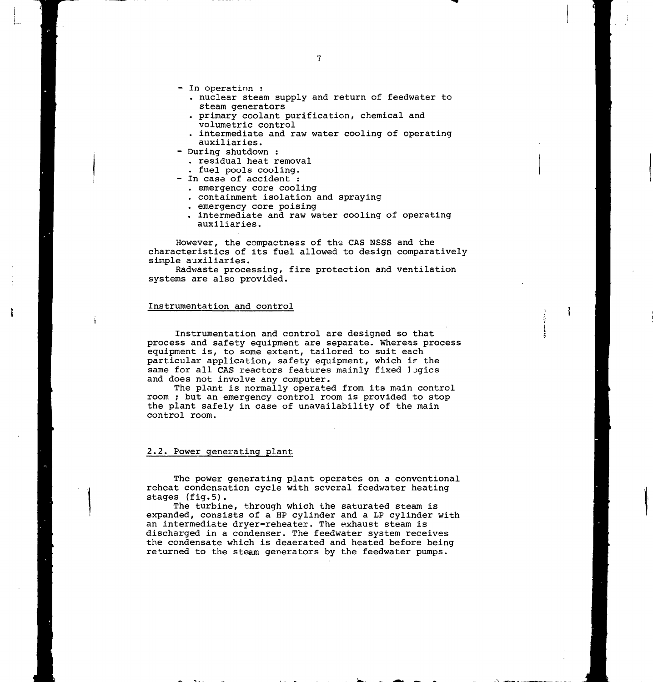- In operation :
	- . nuclear steam supply and return of feedwater to steam generators
	- . primary coolant purification, chemical and volumetric control
	- . intermediate and raw water cooling of operating auxiliaries.
- During shutdown :
	- . residual heat removal
- . fuel pools cooling.
- In case of accident :
	- . emergency core cooling
	- . containment isolation and spraying
	- . emergency core poising
	- . intermediate and raw water cooling of operating auxiliaries.

ł

However, the compactness of the CAS NSSS and the characteristics of its fuel allowed to design comparatively simple auxiliaries.

Radwaste processing, fire protection and ventilation systems are also provided.

## Instrumentation and control

Instrumentation and control are designed so that process and safety equipment are separate. Whereas process equipment is, to some extent, tailored to suit each particular application, safety equipment, which ir the same for all CAS reactors features mainly fixed logics and does not involve any computer.

The plant is normally operated from its main control room ; but an emergency control room is provided to stop the plant safely in case of unavailability of the main control room.

## 2.2. Power generating plant

The power generating plant operates on a conventional reheat condensation cycle with several feedwater heating stages (fig.5).

The turbine, through which the saturated steam is expanded, consists of a HP cylinder and a LP cylinder with an intermediate dryer-reheater. The exhaust steam is discharged in a condenser. The feedwater system receives the condensate which is deaerated and heated before being returned to the steam generators by the feedwater pumps.

 $\overline{7}$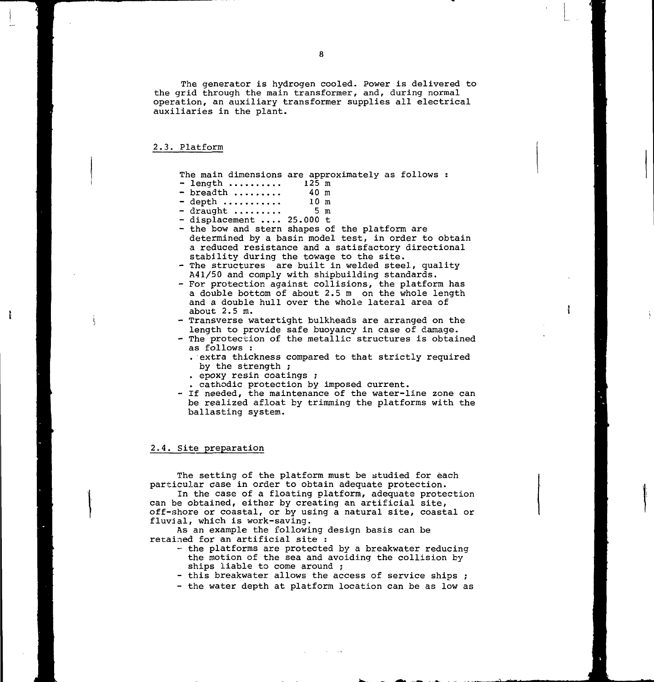The generator is hydrogen cooled. Power is delivered to the grid through the main transformer, and, during normal operation, an auxiliary transformer supplies all electrical auxiliaries in the plant.

## 2.3. Platform

ł

The main dimensions are approximately as follows :

- $\frac{125 \text{ m}}{25 \text{ m}}$  breadth ......... 40 m
- $-$  breadth ......... 40 m<br> $-$  depth .......... 10 m
- depth ........... 10 m<br>- draught ......... 5 m
- $-$  draught  $... \dots$ - displacement .... 25.000 t
- the bow and stern shapes of the platform are determined by a basin model test, in order to obtain a reduced resistance and a satisfactory directional stability during the towage to the site.
- The structures are built in welded steel, quality A41/50 and comply with shipbuilding standards.
- For protection against collisions, the platform has a double bottom of about 2.5m on the whole length and a double hull over the whole lateral area of about 2.5 m.
- Transverse watertight bulkheads are arranged on the length to provide safe buoyancy in case of damage.
- The protection of the metallic structures is obtained as follows :
	- . extra thickness compared to that strictly required by the strength ;
	- . epoxy resin coatings ;
- . cathodic protection by imposed current.
- If needed, the maintenance of the water-line zone can be realized afloat by trimming the platforms with the ballasting system.

#### 2.4. Site preparation

The setting of the platform must be studied for each particular case in order to obtain adequate protection.

In the case of a floating platform, adequate protection can be obtained, either by creating an artificial site, off-shore or coastal, or by using a natural site, coastal or fluvial, which is work-saving.

As an example the following design basis can be retained for an artificial site :

- the platforms are protected by a breakwater reducing the motion of the sea and avoiding the collision by ships liable to come around ;
- this breakwater allows the access of service ships ;
- the water depth at platform location can be as low as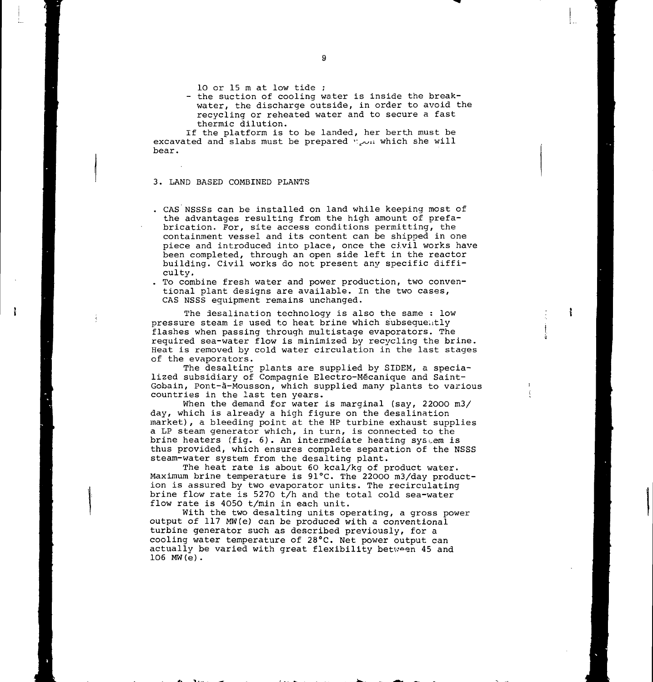10 or 15 m at low tide ;

- the suction of cooling water is inside the breakwater, the discharge outside, in order to avoid the recycling or reheated water and to secure a fast thermic dilution.

If the platform is to be landed, her berth must be excavated and slabs must be prepared v^ u which she will bear.

## 3. LAND BASED COMBINED PLANTS

. \_ \*v Ï ,.- —

. CAS NSSSs can be installed on land while keeping most of the advantages resulting from the high amount of prefabrication. Por, site access conditions permitting, the containment vessel and its content can be shipped in one piece and introduced into place, once the civil works have been completed, through an open side left in the reactor building. Civil works do not present any specific difficulty.

. To combine fresh water and power production, two conventional plant designs are available. In the two cases, CAS NSSS equipment remains unchanged.

The desalination technology is also the same : low pressure steam is used to heat brine which subsequently flashes when passing through multistage evaporators. The required sea-water flow is minimized by recycling the brine. Heat is removed by cold water circulation in the last stages of the evaporators.

f.

The desalting plants are supplied by SIDEM, a specialized subsidiary of Compagnie Electro-Mécanique and Saint-Gobain, Pont-à-Mousson, which supplied many plants to various countries in the last ten years.

When the demand for water is marginal (say, 22000 m3/ day, which is already a high figure on the desalination market), a bleeding point at the HP turbine exhaust supplies a LP steam generator which, in turn, is connected to the brine heaters (fig. 6). An intermediate heating system is thus provided, which ensures complete separation of the NSSS steam-water system from the desalting plant.

The heat rate is about 60 kcal/kg of product water. Maximum brine temperature is 91°C. The 22000 m3/day production is assured by two evaporator units. The recirculating brine flow rate is 5270 t/h and the total cold sea-water flow rate is 4050 t/min in each unit.

With the two desalting units operating, a gross power output of 117 MW(e) can be produced with a conventional turbine generator such as described previously, for a cooling water temperature of 28°C. Net power output can actually be varied with great flexibility between 45 and 106 MW(e).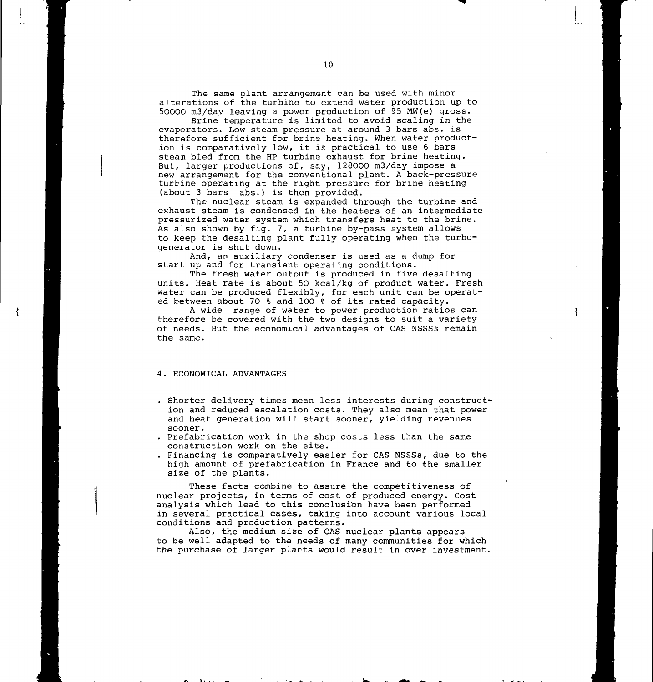The same plant arrangement can be used with minor alterations of the turbine to extend water production up to 50000 m3/day leaving a power production of 95 MW(e) gross.

Brine temperature is limited to avoid scaling in the evaporators. Low steam pressure at around 3 bars abs. is therefore sufficient for brine heating. When water production is comparatively low, it is practical to use 6 bars stean bled from the HP turbine exhaust for brine heating. But, larger productions of, say, 128000 m3/day impose a new arrangement for the conventional plant. A back-pressure turbine operating at the right pressure for brine heating (about 3 bars abs.) is then provided.

The nuclear steam is expanded through the turbine and exhaust steam is condensed in the heaters of an intermediate pressurized water system which transfers heat to the brine. As also shown by fig. 7, a turbine by-pass system allows to keep the desalting plant fully operating when the turbogenerator is shut down.

And, an auxiliary condenser is used as a dump for start up and for transient operating conditions.

The fresh water output is produced in five desalting units. Heat rate is about 50 kcal/kg of product water. Fresh water can be produced flexibly, for each unit can be operated between about 70 % and 100 % of its rated capacity.

A wide range of water to power production ratios can therefore be covered with the two designs to suit a variety of needs. But the economical advantages of CAS NSSSs remain the same.

#### 4. ECONOMICAL ADVANTAGES

- Shorter delivery times mean less interests during construction and reduced escalation costs. They also mean that power and heat generation will start sooner, yielding revenues sooner.
- . Prefabrication work in the shop costs less than the same construction work on the site.
- . Financing is comparatively easier for CAS NSSSs, due to the high amount of prefabrication in France and to the smaller size of the plants.

These facts combine to assure the competitiveness of nuclear projects, in terms of cost of produced energy. Cost analysis which lead to this conclusion have been performed in several practical cases, taking into account various local conditions and production patterns.

Also, the medium size of CAS nuclear plants appears to be well adapted to the needs of many communities for which the purchase of larger plants would result in over investment.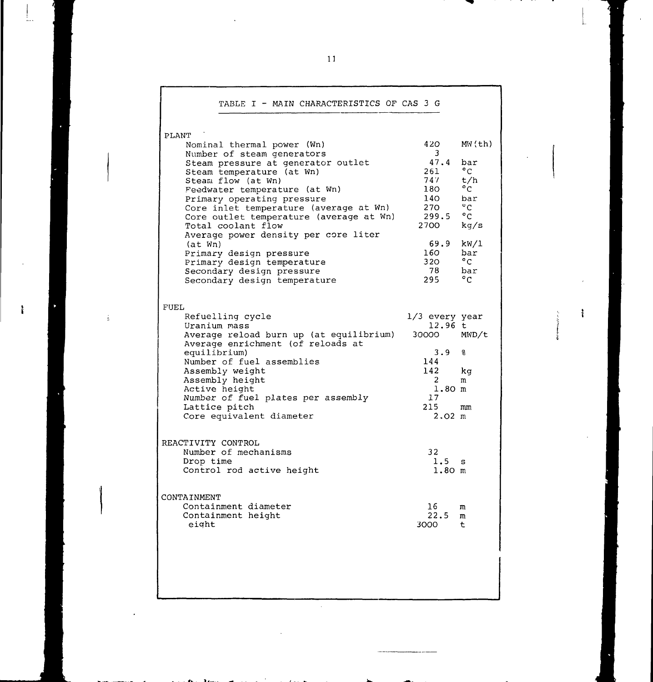| TABLE I - MAIN CHARACTERISTICS OF CAS 3 G                     |                       |                      |
|---------------------------------------------------------------|-----------------------|----------------------|
| PLANT                                                         |                       |                      |
| Nominal thermal power (Wn)                                    | 420 -                 | MW(th)               |
| Number of steam generators                                    | 3                     |                      |
| Steam pressure at generator outlet                            | 47.4                  | bar                  |
| Steam temperature (at Wn)                                     | 261                   | $^{\circ}$ C         |
| Steam flow (at Wn)                                            | 747                   | t/h                  |
| Feedwater temperature (at Wn)                                 | 180                   | $^{\circ}$ C         |
| Primary operating pressure                                    | 140<br>270 <b>127</b> | bar.<br>$^{\circ}$ C |
| Core inlet temperature (average at Wn)                        | 299.5                 | $^{\circ}$ C         |
| Core outlet temperature (average at Wn)<br>Total coolant flow | 2700                  | kg/s                 |
| Average power density per core liter                          |                       |                      |
|                                                               | 69.9                  | kW/1                 |
| (at Wn)<br>Primary design pressure                            | 160                   | bar                  |
| Primary design temperature                                    | 320 L                 | $^{\circ}$ C         |
| Secondary design pressure                                     | 78                    | bar                  |
| Secondary design temperature                                  | 295                   | $^{\circ}$ C         |
|                                                               |                       |                      |
| FUEL<br>Refuelling cycle                                      | $1/3$ every year      |                      |
| Uranium mass                                                  | 12.96t                |                      |
| Average reload burn up (at equilibrium)                       | 30000                 | MWD/t                |
| Average enrichment (of reloads at                             |                       |                      |
| equilibrium)                                                  | 3.9                   | 움                    |
| Number of fuel assemblies                                     | 144                   |                      |
| Assembly weight                                               | 142                   | kg                   |
| Assembly height                                               | 2                     | m                    |
| Active height                                                 | $1.80$ m              |                      |
| Number of fuel plates per assembly                            | 17                    |                      |
| Lattice pitch                                                 | 215                   | mm                   |
| Core equivalent diameter                                      | $2.02 \text{ m}$      |                      |
|                                                               |                       |                      |
| REACTIVITY CONTROL<br>Number of mechanisms                    | 32                    |                      |
| Drop time                                                     | 1.5                   | s                    |
| Control rod active height                                     | 1.80 m                |                      |
|                                                               |                       |                      |
| CONTAINMENT<br>Containment diameter                           | 16                    | m                    |
| Containment height                                            | 22.5                  | m                    |
| eight                                                         | 3000                  | t                    |
|                                                               |                       |                      |
|                                                               |                       |                      |
|                                                               |                       |                      |

 $\mathbb{R}^2$ 

ł

ł

 $\frac{1}{2}$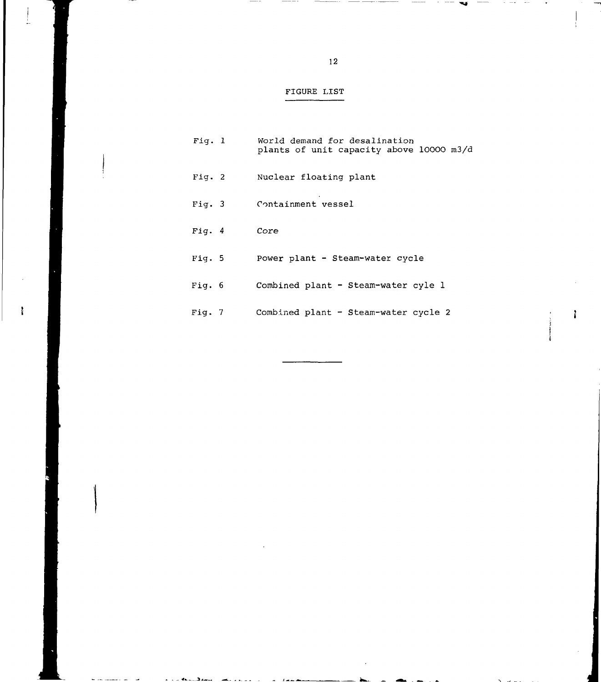# FIGURE LIST

| Fig. 1 | World demand for desalination<br>plants of unit capacity above 10000 m3/d |
|--------|---------------------------------------------------------------------------|
| Fig. 2 | Nuclear floating plant                                                    |
| Fig. 3 | Containment vessel                                                        |
| Fia. 4 | Core                                                                      |
| Fig. 5 | Power plant - Steam-water cycle                                           |
| Fig. 6 | Combined plant - Steam-water cyle 1                                       |
| Fig. 7 | Combined plant - Steam-water cycle 2                                      |

 $\ddot{\rm r}$ 

: % .j .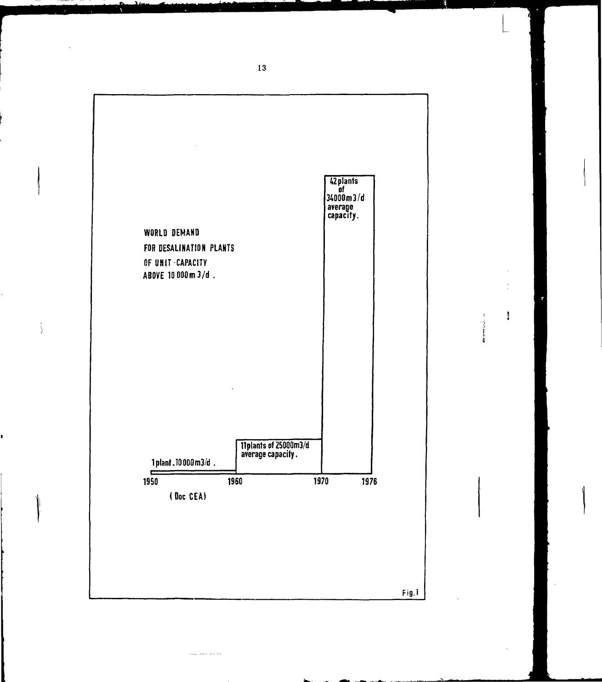

ووالولا المسارين

ÿ

 $\frac{3}{4}$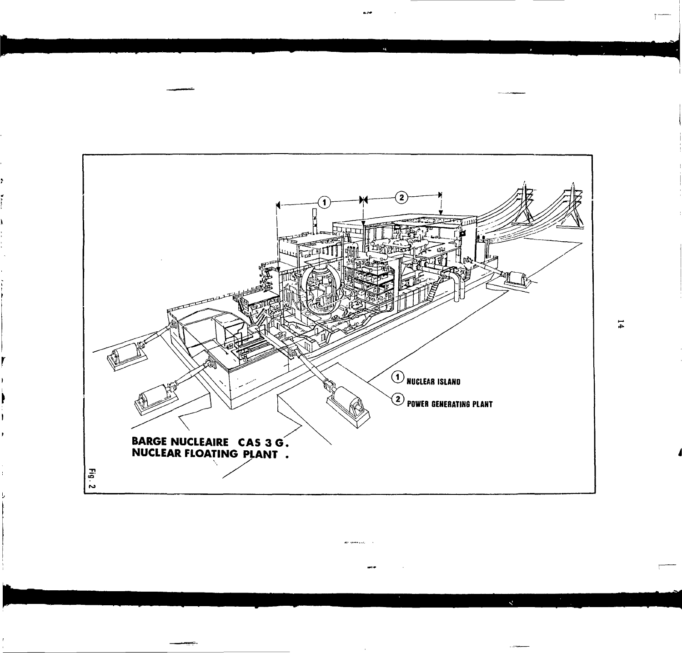

are greenwatch

 $14$ 

 $\mathbf{A}$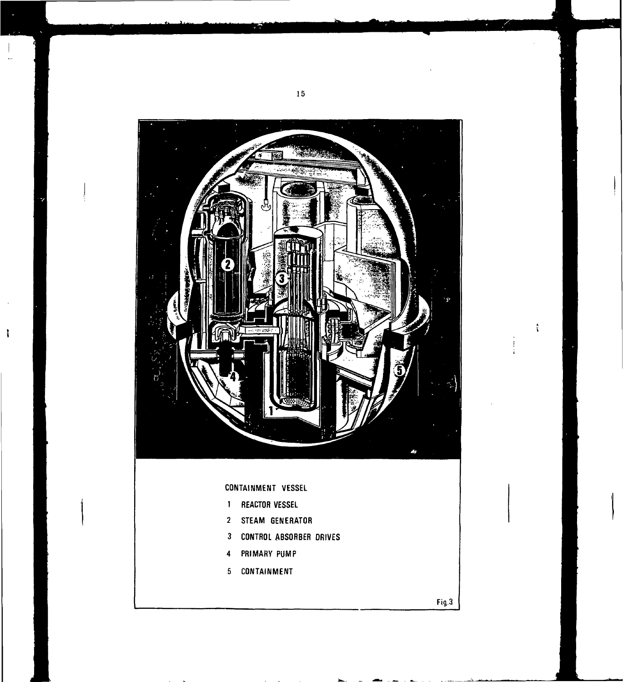

 $\ddot{\phantom{a}}$ 

 $\ddot{\rm r}$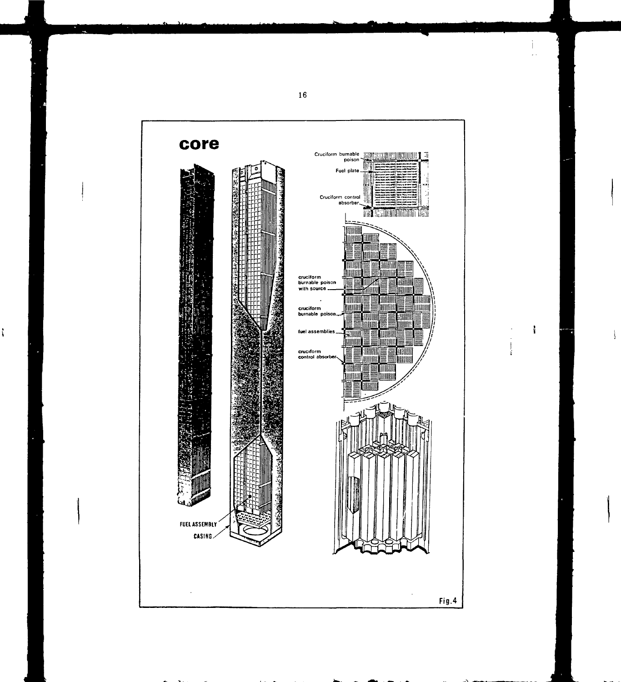

 $\ddot{i}$ 

 $\mathbf i$ 

 $\frac{1}{\frac{1}{\lambda}}$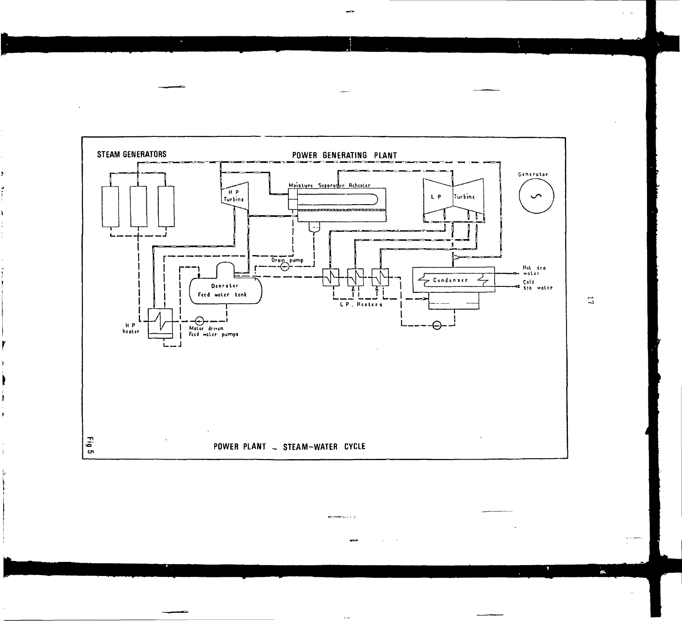

**Bronzenhout A. B.** 

 $\ddotsc$ 

 $\overline{\mathbf{L}}$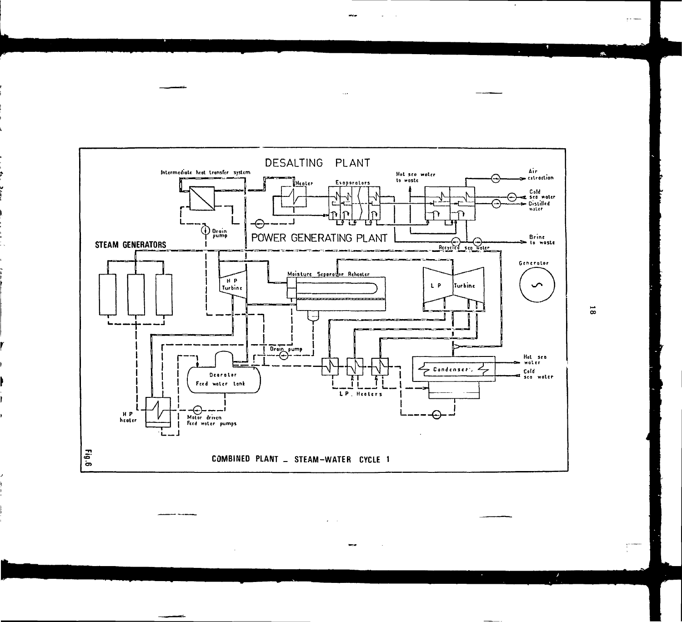

 $\ddotsc$ 

 $\overline{8}$ 

я.